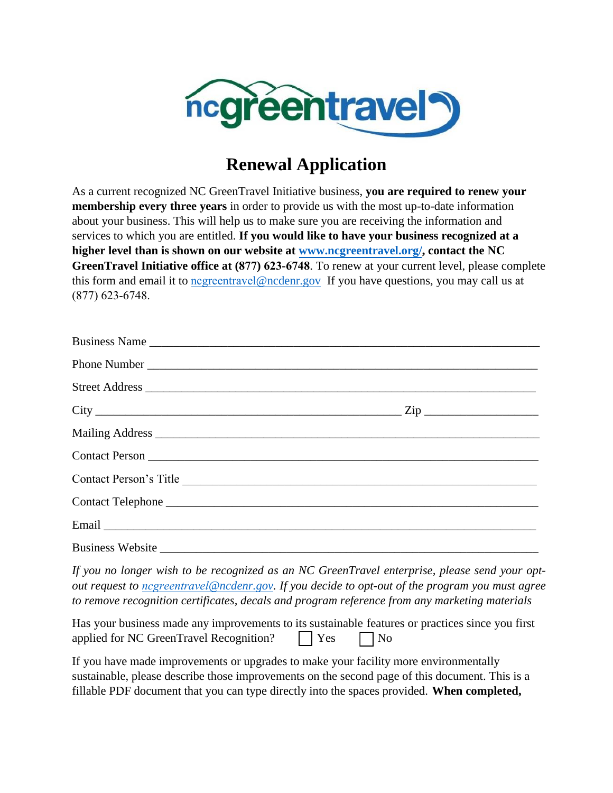

## **Renewal Application**

As a current recognized NC GreenTravel Initiative business, **you are required to renew your membership every three years** in order to provide us with the most up-to-date information about your business. This will help us to make sure you are receiving the information and services to which you are entitled. **If you would like to have your business recognized at a higher level than is shown on our website at [www.ncgreentravel.org/,](http://www.ncgreentravel.org/) contact the NC GreenTravel Initiative office at (877) 623-6748**. To renew at your current level, please complete this form and email it to [ncgreentravel](mailto:tom.rhodes@ncdenr.gov)@ncdenr.gov If you have questions, you may call us at (877) 623-6748.

| $City$ $Zip$                                                                                                                                                                                                                       |
|------------------------------------------------------------------------------------------------------------------------------------------------------------------------------------------------------------------------------------|
|                                                                                                                                                                                                                                    |
|                                                                                                                                                                                                                                    |
| Contact Person's Title                                                                                                                                                                                                             |
|                                                                                                                                                                                                                                    |
|                                                                                                                                                                                                                                    |
| Business Website <u>Communications</u> and the set of the set of the set of the set of the set of the set of the set of the set of the set of the set of the set of the set of the set of the set of the set of the set of the set |

*If you no longer wish to be recognized as an NC GreenTravel enterprise, please send your optout request to ncgreentravel[@ncdenr.gov.](mailto:tom.rhodes@ncdenr.gov) If you decide to opt-out of the program you must agree to remove recognition certificates, decals and program reference from any marketing materials* 

| Has your business made any improvements to its sustainable features or practices since you first |                            |  |
|--------------------------------------------------------------------------------------------------|----------------------------|--|
| applied for NC GreenTravel Recognition?                                                          | $\bigcap$ Yes $\bigcap$ No |  |

If you have made improvements or upgrades to make your facility more environmentally sustainable, please describe those improvements on the second page of this document. This is a fillable PDF document that you can type directly into the spaces provided. **When completed,**